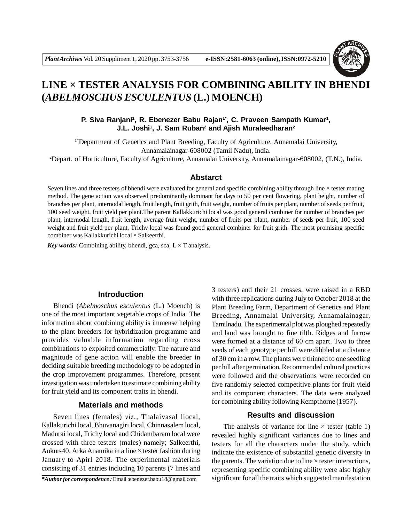

# **LINE × TESTER ANALYSIS FOR COMBINING ABILITY IN BHENDI (***ABELMOSCHUS ESCULENTUS* **(L.) MOENCH)**

## P. Siva Ranjani<sup>1</sup>, R. Ebenezer Babu Rajan<sup>1\*</sup>, C. Praveen Sampath Kumar<sup>1</sup>, **J.L. Joshi<sup>1</sup> , J. Sam Ruban<sup>2</sup> and Ajish Muraleedharan<sup>2</sup>**

1\*Department of Genetics and Plant Breeding, Faculty of Agriculture, Annamalai University, Annamalainagar-608002 (Tamil Nadu), India.

<sup>2</sup>Depart. of Horticulture, Faculty of Agriculture, Annamalai University, Annamalainagar-608002, (T.N.), India.

#### **Abstarct**

Seven lines and three testers of bhendi were evaluated for general and specific combining ability through line × tester mating method. The gene action was observed predominantly dominant for days to 50 per cent flowering, plant height, number of branches per plant, internodal length, fruit length, fruit grith, fruit weight, number of fruits per plant, number of seeds per fruit, 100 seed weight, fruit yield per plant.The parent Kallakkurichi local was good general combiner for number of branches per plant, internodal length, fruit length, average fruit weight, number of fruits per plant, number of seeds per fruit, 100 seed weight and fruit yield per plant. Trichy local was found good general combiner for fruit grith. The most promising specific combiner was Kallakkurichi local × Salkeerthi.

*Key words:* Combining ability, bhendi, gca, sca,  $L \times T$  analysis.

#### **Introduction**

Bhendi (*Abelmoschus esculentus* (L.) Moench) is one of the most important vegetable crops of India. The information about combining ability is immense helping to the plant breeders for hybridization programme and provides valuable information regarding cross combinations to exploited commercially. The nature and magnitude of gene action will enable the breeder in deciding suitable breeding methodology to be adopted in the crop improvement programmes. Therefore, present investigation was undertaken to estimate combining ability for fruit yield and its component traits in bhendi.

## **Materials and methods**

Seven lines (females) *viz.*, Thalaivasal liocal, Kallakurichi local, Bhuvanagiri local, Chinnasalem local, Madurai local, Trichy local and Chidambaram local were crossed with three testers (males) namely; Salkeerthi, Ankur-40, Arka Anamika in a line  $\times$  tester fashion during January to Apirl 2018. The experimental materials consisting of 31 entries including 10 parents (7 lines and

*\*Author for correspondence :* Email :ebenezer.babu18@gmail.com

3 testers) and their 21 crosses, were raised in a RBD with three replications during July to October 2018 at the Plant Breeding Farm, Department of Genetics and Plant Breeding, Annamalai University, Annamalainagar, Tamilnadu. The experimental plot was ploughed repeatedly and land was brought to fine tilth. Ridges and furrow were formed at a distance of 60 cm apart. Two to three seeds of each genotype per hill were dibbled at a distance of 30 cm in a row.The plants were thinned to one seedling per hill after germination.Recommended cultural practices were followed and the observations were recorded on five randomly selected competitive plants for fruit yield and its component characters. The data were analyzed for combining ability following Kempthorne (1957).

## **Results and discussion**

The analysis of variance for line  $\times$  tester (table 1) revealed highly significant variances due to lines and testers for all the characters under the study, which indicate the existence of substantial genetic diversity in the parents. The variation due to line  $\times$  tester interactions, representing specific combining ability were also highly significant for all the traits which suggested manifestation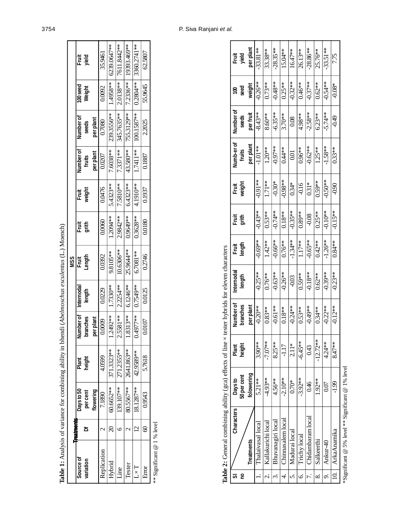|                                                          |                          |                        |                 |                              |                      | <b>MSS</b>                             |                       |                 |                     |                    |                    |                |
|----------------------------------------------------------|--------------------------|------------------------|-----------------|------------------------------|----------------------|----------------------------------------|-----------------------|-----------------|---------------------|--------------------|--------------------|----------------|
| <b>Source of</b><br>variation                            | Treatments<br>ᄒ          | Days to 50<br>per cent | height<br>Plant | <b>Number of</b><br>branches | Internodal<br>length | Length<br>Ē                            | <b>grith</b><br>Fruit | weight<br>Fruit | Number of<br>fruits | Number of<br>seeds | 100 seed<br>Weight | Fruit<br>yield |
|                                                          |                          | flowering              |                 | per plant                    |                      |                                        |                       |                 | per plant           | perplant           |                    |                |
| Replication                                              | $\mathcal{C}$            | 7.1890                 | 4.0599          | 0.0009                       | 0.0229               | 0.0392                                 | 0.0060                | 0.0476          | 0.0207              | 0.7080             | 0.0092             | 35.9461        |
| Hybrid                                                   | $\mathcal{S}$            | 60.6652**              | 371.3323**      | 1.2492**                     | 1.7330**             | 9.8105**                               | 1.2094**              | 5.4323**        | 7.6038**            | 239.3556**         | 1.4958**           | 6239.0647**    |
| Line                                                     | 6                        | 139.107**              | 271.2355**      | 2.5581**                     | 2.2254 **            | 10.6306**                              | 2.9842**              | 7.5810**        | 7.3371**            | 345.7635**         | $2.0138**$         | 7611.8442**    |
| Tester                                                   | $\overline{\mathcal{C}}$ | 80.5567**              | 2641.863**      | 1.8313**                     | 6.1246**             | 25.9644**                              | 0.9649**              | 6.4323**        | 43.580**            | 755.3129**         | $7.2336**$         | 19393.469**    |
| $L \times T$                                             | $\overline{2}$           | 18.1287**              | 42.9589**       | 0.4977**                     | 0.7549**             | 6.7081**                               | 0.3628**              | 4.1910**        | 1.7411**            | 100.1587**         | $0.2804**$         | 3360.2741**    |
| Error                                                    | $\circledast$            | 0.9543                 | 5.7618          | 0.0107                       | 0.0125               | 0.2746                                 | 0.0180                | 0.1937          | 0.1887              | 2.2025             | 55.9645            | 62.5807        |
| ** Significant $@1%$ level                               |                          |                        |                 |                              |                      |                                        |                       |                 |                     |                    |                    |                |
| Table 2: General combining ability (gca) effects of line |                          |                        |                 |                              |                      | x tester hybrids for eleven characters |                       |                 |                     |                    |                    |                |

| Characters         | Days to     | Plant      | <b>Number of</b> | Internodal | Fragth<br>length | Ĩŧ,       | Frai <del>s</del><br>weight | Numb-er of | Number of |            | Frag<br>Vield |
|--------------------|-------------|------------|------------------|------------|------------------|-----------|-----------------------------|------------|-----------|------------|---------------|
|                    | 50 per cent | height     | branches         | length     |                  |           |                             | fruits     | seeds     | seed       |               |
| <b>Treatments</b>  | folowering  |            | perplant         |            |                  |           |                             | per plant  | per fruit | weight     | per plant     |
| Thalaivasal local  | 5.21 **     | $3.90**$   | $-0.20**$        | $-0.25**$  | $-0.69**$        | $-0.43**$ | $-0.91**$                   | $-1.01**$  | $-8.43**$ | $-0.26**$  | $-33.81**$    |
| Kallakurichi local | $-4.93**$   | $-7.07**$  | $0.83**$         | $0.76***$  | $1.42**$         | $0.53**$  | 1.71**                      | $1.20**$   | $8.60***$ | $0.73**$   | $33.38**$     |
| Bhuvanagiri local  | $4.56**$    | $8.25***$  | $-0.61**$        | $-0.63**$  | $-0.66***$       | $-0.74**$ | $-0.30*$                    | $-0.97**$  | $-6.35**$ | $-0.48**$  | $-28.35***$   |
| Chinnasalem local  | $-2.10**$   | $-1.17$    | $0.18**$         | $-0.26***$ | $0.76**$         | $0.18**$  | $-0.98***$                  | $0.44**$   | $3.70***$ | $0.25**$   | 15.04**       |
| Madurai local      | $0.70*$     | $2.11*$    | $-0.24**$        | $-0.03$    | $-1.34**$        | $-0.35**$ | $0.34*$                     | 0.01       | 0.08      | $-0.32***$ | $16.47***$    |
| Trichy local       | $-3.92**$   | $-6.45**$  | $0.53**$         | $0.59**$   | $1.17**$         | $0.89**$  | $-0.16$                     | $0.96***$  | 4.98**    | $0.46***$  | 26.13**       |
| Chidambaram local  | 646         | 0.43       | $-0.49**$        | $-0.18**$  | $-0.65**$        | $-0.08$   | $0.31*$                     | $-0.62**$  | $-2.58**$ | $-0.37**$  | $-28.86***$   |
| Salkeerthi         | $1.92**$    | $-12.72**$ | $0.34***$        | $0.62**$   | $0.42**$         | $0.25**$  | $0.59***$                   | $1.25**$   | $6.23**$  | $0.62**$   | 25.76**       |
| Ankur-40           | 0.07        | $4.24**$   | $-0.22**$        | $-0.39**$  | $-1.26**$        | $-0.10**$ | $-0.50**$                   | $-1.58**$  | $-5.74**$ | $-0.54**$  | $-33.51**$    |
| ArkaAnamika        | $-1.99$     | $8.47**$   | $-0.12**$        | $-0.23**$  | $0.84***$        | $-0.15**$ | 0.90                        | $0.33***$  | -0.49     | $-0.08*$   | 7.75          |
|                    |             |            |                  |            |                  |           |                             |            |           |            |               |

# 3754 P. Siva Ranjani *et al.*

\*Significant @ 5% level \*\* Significant @ 1% level \*Significant @ 5% level \*\* Significant @ 1% level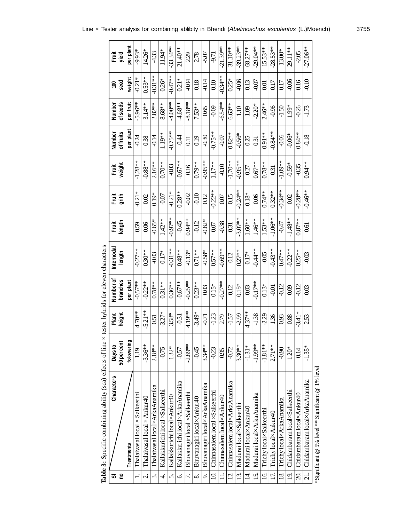|                          | Table 3: Specific combining ability (sca) effects of line $\times$ tester hybrids for eleven characters |             |           |           |            |                 |           |                   |                  |           |           |             |
|--------------------------|---------------------------------------------------------------------------------------------------------|-------------|-----------|-----------|------------|-----------------|-----------|-------------------|------------------|-----------|-----------|-------------|
| 5                        | Characters                                                                                              | Days to     | Plant     | Number of | Internodal |                 | Fruit     | Fruit             | Number           | Number    | ខ្ព       | Fruit       |
| g                        |                                                                                                         | 50 per cent | height    | branches  | length     | Fruit<br>length | grith     | weight            | of fruits        | of seeds  | seed      | yield       |
|                          | <b>Treatments</b>                                                                                       | folowering  |           | per plant |            |                 |           |                   | per plant        | per fruit | weight    | per plant   |
|                          | Thalaivasal local × Salkeerthi                                                                          | 1.19        | 4.70**    | $-0.57**$ | $-0.27**$  | 0.59            | $-0.21*$  | $-1.28**$         | $-0.24$          | $-5.96**$ | $-0.21*$  | -9.93*      |
| $\overline{\mathcal{N}}$ | Thalaivasal local × Ankur40                                                                             | $-3.36***$  | $5.21**$  | $-0.22**$ | $0.30**$   | 0.06            | 0.02      | $-0.88***$        | 0.38             | $3.14**$  | $0.53**$  | 14.26*      |
| $\ddot{\mathrm{c}}$      | Thalaivasal local×ArkaAnamika                                                                           | $2.18**$    | 0.51      | $0.78**$  | $-0.03$    | $-0.65*$        | $0.19*$   | $2.16***$         | $-0.14$          | $2.82**$  | $-0.31**$ | 4.33        |
| 4.                       | Kallakkurichi local ×Salkeerthi                                                                         | $-0.75$     | $-3.27*$  | $0.31**$  | $-0.17*$   | $1.42**$        | $-0.07$   | $0.70**$          | 1.19**           | $8.68**$  | $0.26*$   | 11.94*      |
| <sub>2</sub>             | Kallakkurichi local×Ankur40                                                                             | $1.32*$     | 3.58*     | $0.36***$ | $-0.31**$  | $-0.97**$       | $-0.21*$  | $-0.03$           | $-0.75***$       | $4.00**$  | $-0.47**$ | $-33.34***$ |
| Ġ.                       | Kallakkurichi local×ArkaAnamika                                                                         | $-0.57$     | $-0.31$   | $-0.67**$ | $0.48***$  | $-0.45$         | $0.28***$ | $-0.67**$         | $-0.44$          | $4.68**$  | $0.21*$   | $21.40**$   |
| 7.                       | Bhuvanagiri local ×Salkeerthi                                                                           | $-2.89**$   | 4.19**    | $-0.25**$ | $-0.13*$   | $0.94***$       | $-0.02$   | 0.16              | $\Xi$            | $-8.18**$ | $+0.04$   | 229         |
| $\infty$                 | Bhuvanagiri local×Ankur40                                                                               | $-0.45$     | $-3.49*$  | $0.23***$ | $0.71***$  | $-0.12$         | $-0.10$   | $0.79***$         | 0.19             | $7.53**$  | 0.18      | 278         |
| o.                       | Bhuvanagiri local×ArkaAnamika                                                                           | $3.34***$   | $-0.71$   | 0.03      | $-0.58*$   | $-0.82*$        | 0.12      | $-0.95**$         | $-0.30$          | 0.65      | $-0.14$   | -5.07       |
| $\Xi$                    | Chinnasalem local ×Salkeerthi                                                                           | $-0.23$     | $-1.23$   | $0.15*$   | $0.57**$   | 0.07            | $-0.22**$ | $1.17**$          | $-0.75**$        | $-0.09$   | 0.10      | -9.71       |
|                          | Chinnasalem local×Ankur40                                                                               | 0.95        | 2.79      | $-0.27**$ | $-0.69**$  | $-0.38$         | 0.07      | $-0.10$           | $-0.07$          | $-6.54**$ | $-0.34**$ | $-21.39**$  |
| $\vec{q}$                | Chinnasalem local×ArkaAnamika                                                                           | $-0.72$     | $-1.57$   | 0.12      | 0.12       | 0.31            | 0.15      | $-1.70**$         | $0.82**$         | $6.63***$ | $0.25*$   | $31.10***$  |
| 13.                      | Madurai local×Salkeerthi                                                                                | $3.30**$    | $-2.99$   | $0.15*$   | $0.27***$  | $-3.07**$       | $-0.24**$ | $-0.95**$         | $-0.56*$         | 1.10      | $-0.06$   | $-39.23**$  |
| 14.                      | Madurai local×Ankur40                                                                                   | $-1.31*$    | $4.37***$ | 0.03      | $0.17*$    | $1.60**$        | $0.18*$   | 0.27              | 0.25             | 1.09      | 0.13      | 68.27**     |
| 15.                      | Madurai local×ArkaAnamika                                                                               | $-1.99**$   | $-1.38$   | $-0.17**$ | $-0.44**$  | $1.46***$       | 0.06      | $0.67***$         | $\overline{0.3}$ | $-2.20*$  | $-0.07$   | $-29.04**$  |
| $\overline{16}$          | Trichy local×Salkeerthi                                                                                 | $-1.81**$   | $-2.29$   | $0.13*$   | $-0.05$    | $1.53**$        | $0.74**$  | $0.78***$         | $0.91**$         | $2.46***$ | 0.01      | $15.53**$   |
| 17.                      | Trichy local×Ankur40                                                                                    | $2.71**$    | 1.36      | $-0.01$   | $-0.43**$  | $-1.06**$       | $0.32***$ | $\overline{0.31}$ | $-0.84**$        | $-0.96$   | 0.17      | $-28.53**$  |
| 18.                      | Trichy local×ArkaAnamika                                                                                | $-0.90$     | 0.93      | $-0.12$   | $0.47***$  | -0.47           | $-0.34**$ | $-1.09**$         | $-0.06$          | $-1.50$   | 0.17      | 13.00*      |
| $\overline{19}$          | Chidambaram local×Salkeerthi                                                                            | $1.20*$     | 0.88      | 600       | $-0.22**$  | $-1.48**$       | 0.02      | $-0.59*$          | $-0.06*$         | 1.99*     | $-0.06$   | 29.11**     |
| $\overline{20}$ .        | Chidambaram local×Ankur40                                                                               | 0.14        | $-3.41*$  | $-0.12$   | $0.25**$   | $0.87***$       | $-0.28**$ | $-0.35$           | $0.84***$        | $-0.26$   | 0.16      | $-2.05$     |
| 21.                      | Chidambaram local×ArkaAnamika                                                                           | $-1.35*$    | 2.53      | 0.03      | $-0.03$    | 5.<br>G         | $-0.46**$ | $0.94***$         | $-0.18$          | $-1.73$   | $-0.10$   | $-27.06***$ |
|                          | *Significant @ 5% level ** Significant @ 1% level                                                       |             |           |           |            |                 |           |                   |                  |           |           |             |